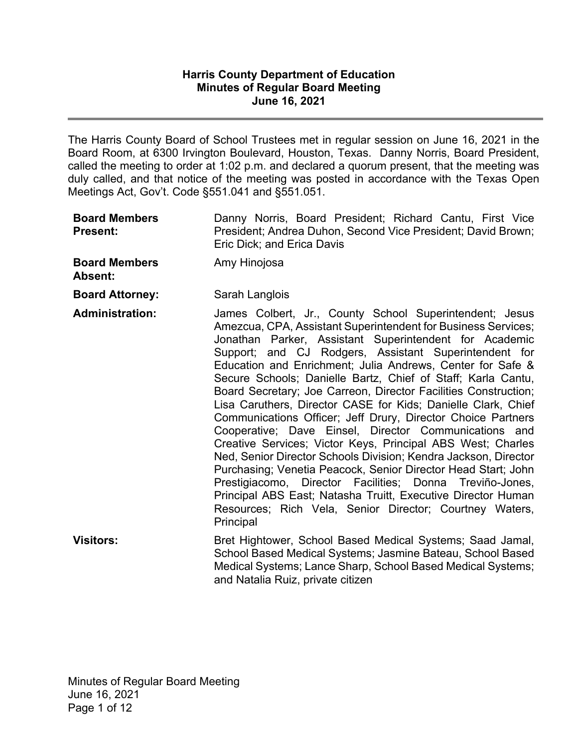### **Harris County Department of Education Minutes of Regular Board Meeting June 16, 2021**

The Harris County Board of School Trustees met in regular session on June 16, 2021 in the Board Room, at 6300 Irvington Boulevard, Houston, Texas. Danny Norris, Board President, called the meeting to order at 1:02 p.m. and declared a quorum present, that the meeting was duly called, and that notice of the meeting was posted in accordance with the Texas Open Meetings Act, Gov't. Code §551.041 and §551.051.

| <b>Board Members</b><br>Present: | Danny Norris, Board President; Richard Cantu, First Vice<br>President; Andrea Duhon, Second Vice President; David Brown;<br>Eric Dick; and Erica Davis                                                                                                                                                                                                                                                                                                                                                                                                                                                                                                                                                                                                                                                                                                                                                                                                                                                                                        |
|----------------------------------|-----------------------------------------------------------------------------------------------------------------------------------------------------------------------------------------------------------------------------------------------------------------------------------------------------------------------------------------------------------------------------------------------------------------------------------------------------------------------------------------------------------------------------------------------------------------------------------------------------------------------------------------------------------------------------------------------------------------------------------------------------------------------------------------------------------------------------------------------------------------------------------------------------------------------------------------------------------------------------------------------------------------------------------------------|
| <b>Board Members</b><br>Absent:  | Amy Hinojosa                                                                                                                                                                                                                                                                                                                                                                                                                                                                                                                                                                                                                                                                                                                                                                                                                                                                                                                                                                                                                                  |
| <b>Board Attorney:</b>           | Sarah Langlois                                                                                                                                                                                                                                                                                                                                                                                                                                                                                                                                                                                                                                                                                                                                                                                                                                                                                                                                                                                                                                |
| <b>Administration:</b>           | James Colbert, Jr., County School Superintendent; Jesus<br>Amezcua, CPA, Assistant Superintendent for Business Services;<br>Jonathan Parker, Assistant Superintendent for Academic<br>Support; and CJ Rodgers, Assistant Superintendent for<br>Education and Enrichment; Julia Andrews, Center for Safe &<br>Secure Schools; Danielle Bartz, Chief of Staff; Karla Cantu,<br>Board Secretary; Joe Carreon, Director Facilities Construction;<br>Lisa Caruthers, Director CASE for Kids; Danielle Clark, Chief<br>Communications Officer; Jeff Drury, Director Choice Partners<br>Cooperative; Dave Einsel, Director Communications and<br>Creative Services; Victor Keys, Principal ABS West; Charles<br>Ned, Senior Director Schools Division; Kendra Jackson, Director<br>Purchasing; Venetia Peacock, Senior Director Head Start; John<br>Prestigiacomo, Director Facilities; Donna Treviño-Jones,<br>Principal ABS East; Natasha Truitt, Executive Director Human<br>Resources; Rich Vela, Senior Director; Courtney Waters,<br>Principal |
| <b>Visitors:</b>                 | Bret Hightower, School Based Medical Systems; Saad Jamal,<br>School Based Medical Systems; Jasmine Bateau, School Based<br>Medical Systems; Lance Sharp, School Based Medical Systems;<br>and Natalia Ruiz, private citizen                                                                                                                                                                                                                                                                                                                                                                                                                                                                                                                                                                                                                                                                                                                                                                                                                   |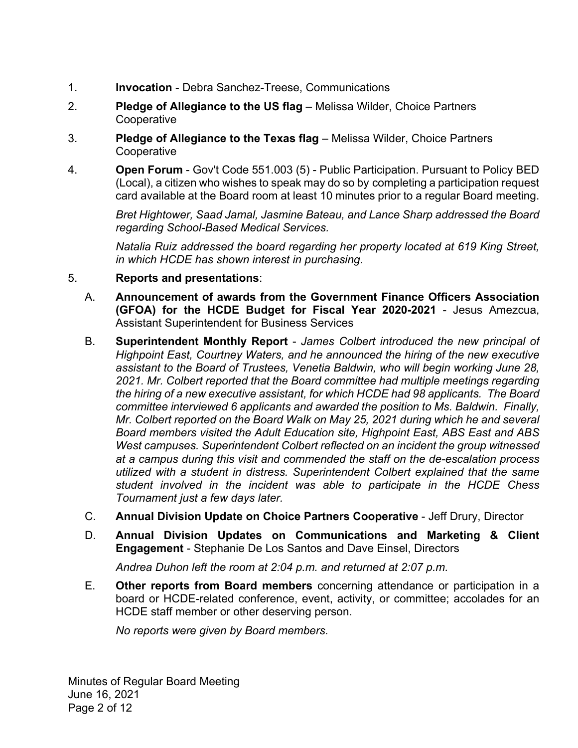- 1. **Invocation** - Debra Sanchez-Treese, Communications
- 2. **Pledge of Allegiance to the US flag** – Melissa Wilder, Choice Partners **Cooperative**
- 3. **Pledge of Allegiance to the Texas flag** – Melissa Wilder, Choice Partners **Cooperative**
- 4. **Open Forum** - Gov't Code 551.003 (5) - Public Participation. Pursuant to Policy BED (Local), a citizen who wishes to speak may do so by completing a participation request card available at the Board room at least 10 minutes prior to a regular Board meeting.

*Bret Hightower, Saad Jamal, Jasmine Bateau, and Lance Sharp addressed the Board regarding School-Based Medical Services.* 

*Natalia Ruiz addressed the board regarding her property located at 619 King Street, in which HCDE has shown interest in purchasing.* 

- 5. **Reports and presentations**:
	- A. **Announcement of awards from the Government Finance Officers Association (GFOA) for the HCDE Budget for Fiscal Year 2020-2021** - Jesus Amezcua, Assistant Superintendent for Business Services
	- B. **Superintendent Monthly Report** *James Colbert introduced the new principal of Highpoint East, Courtney Waters, and he announced the hiring of the new executive assistant to the Board of Trustees, Venetia Baldwin, who will begin working June 28, 2021. Mr. Colbert reported that the Board committee had multiple meetings regarding the hiring of a new executive assistant, for which HCDE had 98 applicants. The Board committee interviewed 6 applicants and awarded the position to Ms. Baldwin. Finally, Mr. Colbert reported on the Board Walk on May 25, 2021 during which he and several Board members visited the Adult Education site, Highpoint East, ABS East and ABS West campuses. Superintendent Colbert reflected on an incident the group witnessed at a campus during this visit and commended the staff on the de-escalation process utilized with a student in distress. Superintendent Colbert explained that the same student involved in the incident was able to participate in the HCDE Chess Tournament just a few days later.*
	- C. **Annual Division Update on Choice Partners Cooperative** Jeff Drury, Director
	- D. **Annual Division Updates on Communications and Marketing & Client Engagement** - Stephanie De Los Santos and Dave Einsel, Directors

*Andrea Duhon left the room at 2:04 p.m. and returned at 2:07 p.m.* 

E. **Other reports from Board members** concerning attendance or participation in a board or HCDE-related conference, event, activity, or committee; accolades for an HCDE staff member or other deserving person.

*No reports were given by Board members.* 

Minutes of Regular Board Meeting June 16, 2021 Page 2 of 12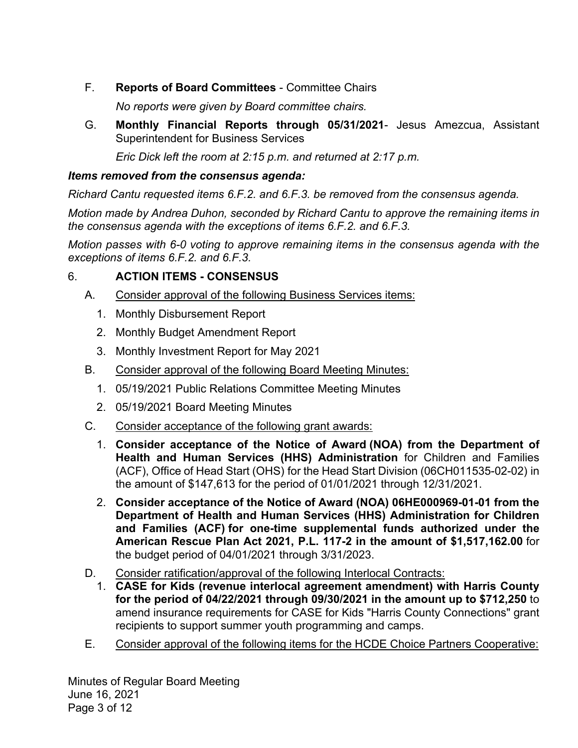F. **Reports of Board Committees** - Committee Chairs

*No reports were given by Board committee chairs.*

G. **Monthly Financial Reports through 05/31/2021**- Jesus Amezcua, Assistant Superintendent for Business Services

*Eric Dick left the room at 2:15 p.m. and returned at 2:17 p.m.* 

## *Items removed from the consensus agenda:*

*Richard Cantu requested items 6.F.2. and 6.F.3. be removed from the consensus agenda.* 

*Motion made by Andrea Duhon, seconded by Richard Cantu to approve the remaining items in the consensus agenda with the exceptions of items 6.F.2. and 6.F.3.* 

*Motion passes with 6-0 voting to approve remaining items in the consensus agenda with the exceptions of items 6.F.2. and 6.F.3.* 

# 6. **ACTION ITEMS - CONSENSUS**

- A. Consider approval of the following Business Services items:
	- 1. Monthly Disbursement Report
	- 2. Monthly Budget Amendment Report
	- 3. Monthly Investment Report for May 2021
- B. Consider approval of the following Board Meeting Minutes:
	- 1. 05/19/2021 Public Relations Committee Meeting Minutes
	- 2. 05/19/2021 Board Meeting Minutes
- C. Consider acceptance of the following grant awards:
	- 1. **Consider acceptance of the Notice of Award (NOA) from the Department of Health and Human Services (HHS) Administration** for Children and Families (ACF), Office of Head Start (OHS) for the Head Start Division (06CH011535-02-02) in the amount of \$147,613 for the period of 01/01/2021 through 12/31/2021.
	- 2. **Consider acceptance of the Notice of Award (NOA) 06HE000969-01-01 from the Department of Health and Human Services (HHS) Administration for Children and Families (ACF) for one-time supplemental funds authorized under the American Rescue Plan Act 2021, P.L. 117-2 in the amount of \$1,517,162.00** for the budget period of 04/01/2021 through 3/31/2023.
- D. Consider ratification/approval of the following Interlocal Contracts:
	- 1. **CASE for Kids (revenue interlocal agreement amendment) with Harris County for the period of 04/22/2021 through 09/30/2021 in the amount up to \$712,250** to amend insurance requirements for CASE for Kids "Harris County Connections" grant recipients to support summer youth programming and camps.
- E. Consider approval of the following items for the HCDE Choice Partners Cooperative:

Minutes of Regular Board Meeting June 16, 2021 Page 3 of 12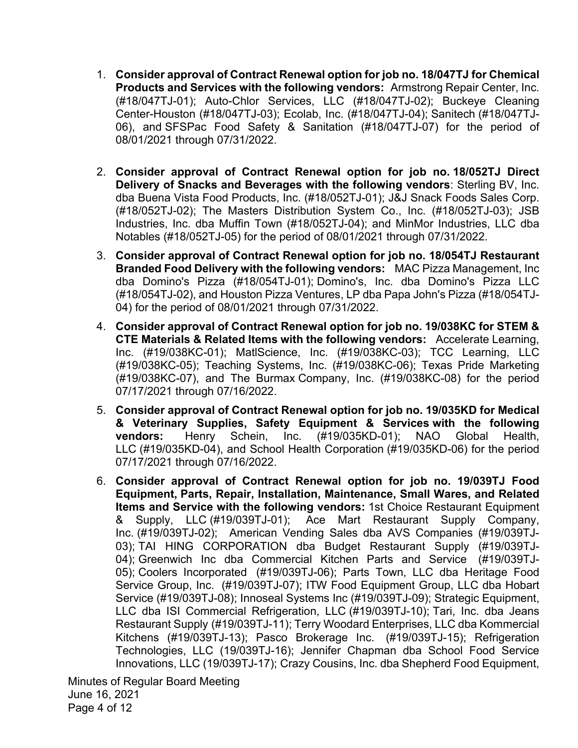- 1. **Consider approval of Contract Renewal option for job no. 18/047TJ for Chemical Products and Services with the following vendors:** Armstrong Repair Center, Inc. (#18/047TJ-01); Auto-Chlor Services, LLC (#18/047TJ-02); Buckeye Cleaning Center-Houston (#18/047TJ-03); Ecolab, Inc. (#18/047TJ-04); Sanitech (#18/047TJ-06), and SFSPac Food Safety & Sanitation (#18/047TJ-07) for the period of 08/01/2021 through 07/31/2022.
- 2. **Consider approval of Contract Renewal option for job no. 18/052TJ Direct Delivery of Snacks and Beverages with the following vendors**: Sterling BV, Inc. dba Buena Vista Food Products, Inc. (#18/052TJ-01); J&J Snack Foods Sales Corp. (#18/052TJ-02); The Masters Distribution System Co., Inc. (#18/052TJ-03); JSB Industries, Inc. dba Muffin Town (#18/052TJ-04); and MinMor Industries, LLC dba Notables (#18/052TJ-05) for the period of 08/01/2021 through 07/31/2022.
- 3. **Consider approval of Contract Renewal option for job no. 18/054TJ Restaurant Branded Food Delivery with the following vendors:** MAC Pizza Management, Inc dba Domino's Pizza (#18/054TJ-01); Domino's, Inc. dba Domino's Pizza LLC (#18/054TJ-02), and Houston Pizza Ventures, LP dba Papa John's Pizza (#18/054TJ-04) for the period of 08/01/2021 through 07/31/2022.
- 4. **Consider approval of Contract Renewal option for job no. 19/038KC for STEM & CTE Materials & Related Items with the following vendors:** Accelerate Learning, Inc. (#19/038KC-01); MatlScience, Inc. (#19/038KC-03); TCC Learning, LLC (#19/038KC-05); Teaching Systems, Inc. (#19/038KC-06); Texas Pride Marketing (#19/038KC-07), and The Burmax Company, Inc. (#19/038KC-08) for the period 07/17/2021 through 07/16/2022.
- 5. **Consider approval of Contract Renewal option for job no. 19/035KD for Medical & Veterinary Supplies, Safety Equipment & Services with the following vendors:** Henry Schein, Inc. (#19/035KD-01); NAO Global Health, LLC (#19/035KD-04), and School Health Corporation (#19/035KD-06) for the period 07/17/2021 through 07/16/2022.
- 6. **Consider approval of Contract Renewal option for job no. 19/039TJ Food Equipment, Parts, Repair, Installation, Maintenance, Small Wares, and Related Items and Service with the following vendors:** 1st Choice Restaurant Equipment & Supply, LLC (#19/039TJ-01); Ace Mart Restaurant Supply Company, Inc. (#19/039TJ-02); American Vending Sales dba AVS Companies (#19/039TJ-03); TAI HING CORPORATION dba Budget Restaurant Supply (#19/039TJ-04); Greenwich Inc dba Commercial Kitchen Parts and Service (#19/039TJ-05); Coolers Incorporated (#19/039TJ-06); Parts Town, LLC dba Heritage Food Service Group, Inc. (#19/039TJ-07); ITW Food Equipment Group, LLC dba Hobart Service (#19/039TJ-08); Innoseal Systems Inc (#19/039TJ-09); Strategic Equipment, LLC dba ISI Commercial Refrigeration, LLC (#19/039TJ-10); Tari, Inc. dba Jeans Restaurant Supply (#19/039TJ-11); Terry Woodard Enterprises, LLC dba Kommercial Kitchens (#19/039TJ-13); Pasco Brokerage Inc. (#19/039TJ-15); Refrigeration Technologies, LLC (19/039TJ-16); Jennifer Chapman dba School Food Service Innovations, LLC (19/039TJ-17); Crazy Cousins, Inc. dba Shepherd Food Equipment,

Minutes of Regular Board Meeting June 16, 2021 Page 4 of 12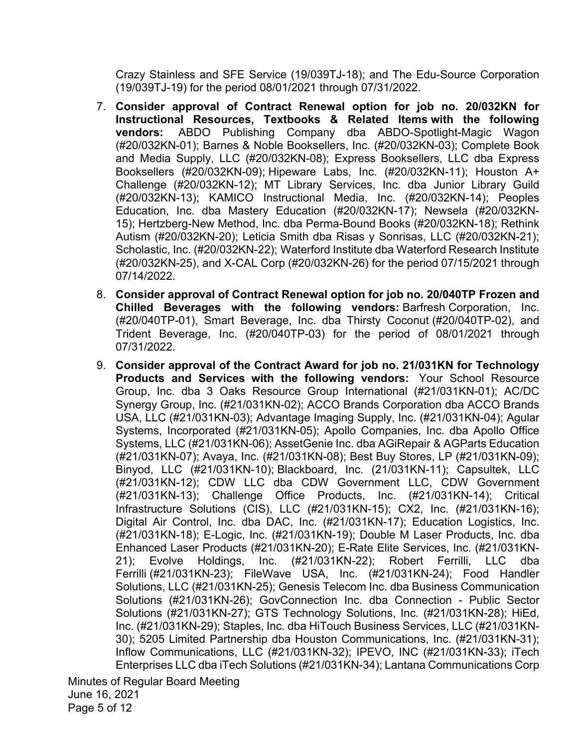Crazy Stainless and SFE Service (19/039TJ-18); and The Edu-Source Corporation (19/039TJ-19) for the period 08/01/2021 through 07/31/2022.

- 7. **Consider approval of Contract Renewal option for job no. 20/032KN for Instructional Resources, Textbooks & Related Items with the following vendors:** ABDO Publishing Company dba ABDO-Spotlight-Magic Wagon (#20/032KN-01); Barnes & Noble Booksellers, Inc. (#20/032KN-03); Complete Book and Media Supply, LLC (#20/032KN-08); Express Booksellers, LLC dba Express Booksellers (#20/032KN-09); Hipeware Labs, Inc. (#20/032KN-11); Houston A+ Challenge (#20/032KN-12); MT Library Services, Inc. dba Junior Library Guild (#20/032KN-13); KAMICO Instructional Media, Inc. (#20/032KN-14); Peoples Education, Inc. dba Mastery Education (#20/032KN-17); Newsela (#20/032KN-15); Hertzberg-New Method, Inc. dba Perma-Bound Books (#20/032KN-18); Rethink Autism (#20/032KN-20); Leticia Smith dba Risas y Sonrisas, LLC (#20/032KN-21); Scholastic, Inc. (#20/032KN-22); Waterford Institute dba Waterford Research Institute (#20/032KN-25), and X-CAL Corp (#20/032KN-26) for the period 07/15/2021 through 07/14/2022.
- 8. **Consider approval of Contract Renewal option for job no. 20/040TP Frozen and Chilled Beverages with the following vendors:** Barfresh Corporation, Inc. (#20/040TP-01), Smart Beverage, Inc. dba Thirsty Coconut (#20/040TP-02), and Trident Beverage, Inc. (#20/040TP-03) for the period of 08/01/2021 through 07/31/2022.
- 9. **Consider approval of the Contract Award for job no. 21/031KN for Technology Products and Services with the following vendors:** Your School Resource Group, Inc. dba 3 Oaks Resource Group International (#21/031KN-01); AC/DC Synergy Group, Inc. (#21/031KN-02); ACCO Brands Corporation dba ACCO Brands USA, LLC (#21/031KN-03); Advantage Imaging Supply, Inc. (#21/031KN-04); Agular Systems, Incorporated (#21/031KN-05); Apollo Companies, Inc. dba Apollo Office Systems, LLC (#21/031KN-06); AssetGenie Inc. dba AGiRepair & AGParts Education (#21/031KN-07); Avaya, Inc. (#21/031KN-08); Best Buy Stores, LP (#21/031KN-09); Binyod, LLC (#21/031KN-10); Blackboard, Inc. (21/031KN-11); Capsultek, LLC (#21/031KN-12); CDW LLC dba CDW Government LLC, CDW Government (#21/031KN-13); Challenge Office Products, Inc. (#21/031KN-14); Critical Infrastructure Solutions (CIS), LLC (#21/031KN-15); CX2, Inc. (#21/031KN-16); Digital Air Control, Inc. dba DAC, Inc. (#21/031KN-17); Education Logistics, Inc. (#21/031KN-18); E-Logic, Inc. (#21/031KN-19); Double M Laser Products, Inc. dba Enhanced Laser Products (#21/031KN-20); E-Rate Elite Services, Inc. (#21/031KN-21); Evolve Holdings, Inc. (#21/031KN-22); Robert Ferrilli, LLC dba Ferrilli (#21/031KN-23); FileWave USA, Inc. (#21/031KN-24); Food Handler Solutions, LLC (#21/031KN-25); Genesis Telecom Inc. dba Business Communication Solutions (#21/031KN-26); GovConnection Inc. dba Connection - Public Sector Solutions (#21/031KN-27); GTS Technology Solutions, Inc. (#21/031KN-28); HiEd, Inc. (#21/031KN-29); Staples, Inc. dba HiTouch Business Services, LLC (#21/031KN-30); 5205 Limited Partnership dba Houston Communications, Inc. (#21/031KN-31); Inflow Communications, LLC (#21/031KN-32); IPEVO, INC (#21/031KN-33); iTech Enterprises LLC dba iTech Solutions (#21/031KN-34); Lantana Communications Corp

Minutes of Regular Board Meeting June 16, 2021 Page 5 of 12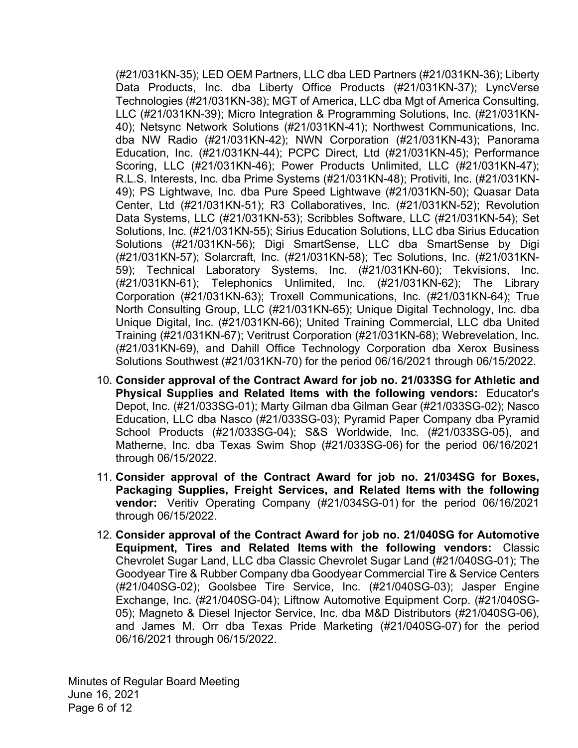(#21/031KN-35); LED OEM Partners, LLC dba LED Partners (#21/031KN-36); Liberty Data Products, Inc. dba Liberty Office Products (#21/031KN-37); LyncVerse Technologies (#21/031KN-38); MGT of America, LLC dba Mgt of America Consulting, LLC (#21/031KN-39); Micro Integration & Programming Solutions, Inc. (#21/031KN-40); Netsync Network Solutions (#21/031KN-41); Northwest Communications, Inc. dba NW Radio (#21/031KN-42); NWN Corporation (#21/031KN-43); Panorama Education, Inc. (#21/031KN-44); PCPC Direct, Ltd (#21/031KN-45); Performance Scoring, LLC (#21/031KN-46); Power Products Unlimited, LLC (#21/031KN-47); R.L.S. Interests, Inc. dba Prime Systems (#21/031KN-48); Protiviti, Inc. (#21/031KN-49); PS Lightwave, Inc. dba Pure Speed Lightwave (#21/031KN-50); Quasar Data Center, Ltd (#21/031KN-51); R3 Collaboratives, Inc. (#21/031KN-52); Revolution Data Systems, LLC (#21/031KN-53); Scribbles Software, LLC (#21/031KN-54); Set Solutions, Inc. (#21/031KN-55); Sirius Education Solutions, LLC dba Sirius Education Solutions (#21/031KN-56); Digi SmartSense, LLC dba SmartSense by Digi (#21/031KN-57); Solarcraft, Inc. (#21/031KN-58); Tec Solutions, Inc. (#21/031KN-59); Technical Laboratory Systems, Inc. (#21/031KN-60); Tekvisions, Inc. (#21/031KN-61); Telephonics Unlimited, Inc. (#21/031KN-62); The Library Corporation (#21/031KN-63); Troxell Communications, Inc. (#21/031KN-64); True North Consulting Group, LLC (#21/031KN-65); Unique Digital Technology, Inc. dba Unique Digital, Inc. (#21/031KN-66); United Training Commercial, LLC dba United Training (#21/031KN-67); Veritrust Corporation (#21/031KN-68); Webrevelation, Inc. (#21/031KN-69), and Dahill Office Technology Corporation dba Xerox Business Solutions Southwest (#21/031KN-70) for the period 06/16/2021 through 06/15/2022.

- 10. **Consider approval of the Contract Award for job no. 21/033SG for Athletic and Physical Supplies and Related Items with the following vendors:** Educator's Depot, Inc. (#21/033SG-01); Marty Gilman dba Gilman Gear (#21/033SG-02); Nasco Education, LLC dba Nasco (#21/033SG-03); Pyramid Paper Company dba Pyramid School Products (#21/033SG-04); S&S Worldwide, Inc. (#21/033SG-05), and Matherne, Inc. dba Texas Swim Shop (#21/033SG-06) for the period 06/16/2021 through 06/15/2022.
- 11. **Consider approval of the Contract Award for job no. 21/034SG for Boxes, Packaging Supplies, Freight Services, and Related Items with the following vendor:** Veritiv Operating Company (#21/034SG-01) for the period 06/16/2021 through 06/15/2022.
- 12. **Consider approval of the Contract Award for job no. 21/040SG for Automotive Equipment, Tires and Related Items with the following vendors:** Classic Chevrolet Sugar Land, LLC dba Classic Chevrolet Sugar Land (#21/040SG-01); The Goodyear Tire & Rubber Company dba Goodyear Commercial Tire & Service Centers (#21/040SG-02); Goolsbee Tire Service, Inc. (#21/040SG-03); Jasper Engine Exchange, Inc. (#21/040SG-04); Liftnow Automotive Equipment Corp. (#21/040SG-05); Magneto & Diesel Injector Service, Inc. dba M&D Distributors (#21/040SG-06), and James M. Orr dba Texas Pride Marketing (#21/040SG-07) for the period 06/16/2021 through 06/15/2022.

Minutes of Regular Board Meeting June 16, 2021 Page 6 of 12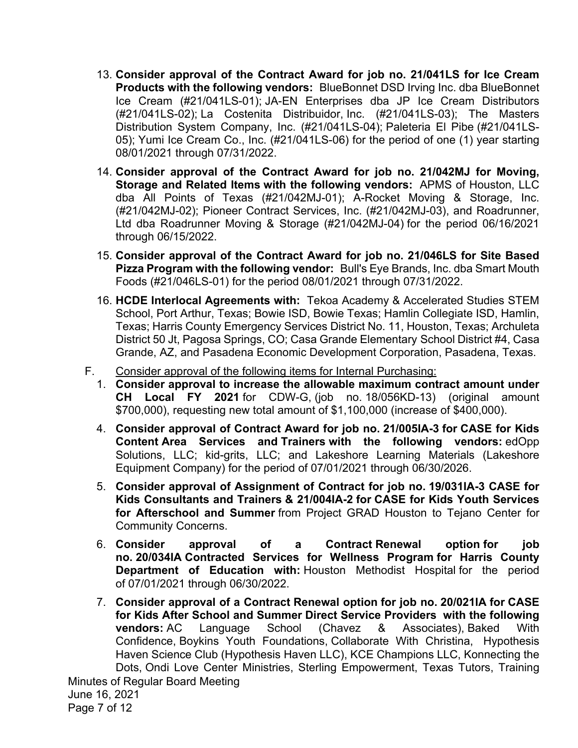- 13. **Consider approval of the Contract Award for job no. 21/041LS for Ice Cream Products with the following vendors:** BlueBonnet DSD Irving Inc. dba BlueBonnet Ice Cream (#21/041LS-01); JA-EN Enterprises dba JP Ice Cream Distributors (#21/041LS-02); La Costenita Distribuidor, Inc. (#21/041LS-03); The Masters Distribution System Company, Inc. (#21/041LS-04); Paleteria El Pibe (#21/041LS-05); Yumi Ice Cream Co., Inc. (#21/041LS-06) for the period of one (1) year starting 08/01/2021 through 07/31/2022.
- 14. **Consider approval of the Contract Award for job no. 21/042MJ for Moving, Storage and Related Items with the following vendors:** APMS of Houston, LLC dba All Points of Texas (#21/042MJ-01); A-Rocket Moving & Storage, Inc. (#21/042MJ-02); Pioneer Contract Services, Inc. (#21/042MJ-03), and Roadrunner, Ltd dba Roadrunner Moving & Storage (#21/042MJ-04) for the period 06/16/2021 through 06/15/2022.
- 15. **Consider approval of the Contract Award for job no. 21/046LS for Site Based Pizza Program with the following vendor:** Bull's Eye Brands, Inc. dba Smart Mouth Foods (#21/046LS-01) for the period 08/01/2021 through 07/31/2022.
- 16. **HCDE Interlocal Agreements with:** Tekoa Academy & Accelerated Studies STEM School, Port Arthur, Texas; Bowie ISD, Bowie Texas; Hamlin Collegiate ISD, Hamlin, Texas; Harris County Emergency Services District No. 11, Houston, Texas; Archuleta District 50 Jt, Pagosa Springs, CO; Casa Grande Elementary School District #4, Casa Grande, AZ, and Pasadena Economic Development Corporation, Pasadena, Texas.
- F. Consider approval of the following items for Internal Purchasing:
	- 1. **Consider approval to increase the allowable maximum contract amount under CH Local FY 2021** for CDW-G, (job no. 18/056KD-13) (original amount \$700,000), requesting new total amount of \$1,100,000 (increase of \$400,000).
	- 4. **Consider approval of Contract Award for job no. 21/005IA-3 for CASE for Kids Content Area Services and Trainers with the following vendors:** edOpp Solutions, LLC; kid-grits, LLC; and Lakeshore Learning Materials (Lakeshore Equipment Company) for the period of 07/01/2021 through 06/30/2026.
	- 5. **Consider approval of Assignment of Contract for job no. 19/031IA-3 CASE for Kids Consultants and Trainers & 21/004IA-2 for CASE for Kids Youth Services for Afterschool and Summer** from Project GRAD Houston to Tejano Center for Community Concerns.
	- 6. **Consider approval of a Contract Renewal option for job no. 20/034IA Contracted Services for Wellness Program for Harris County Department of Education with:** Houston Methodist Hospital for the period of 07/01/2021 through 06/30/2022.
	- 7. **Consider approval of a Contract Renewal option for job no. 20/021IA for CASE for Kids After School and Summer Direct Service Providers with the following vendors:** AC Language School (Chavez & Associates), Baked With Confidence, Boykins Youth Foundations, Collaborate With Christina, Hypothesis Haven Science Club (Hypothesis Haven LLC), KCE Champions LLC, Konnecting the Dots, Ondi Love Center Ministries, Sterling Empowerment, Texas Tutors, Training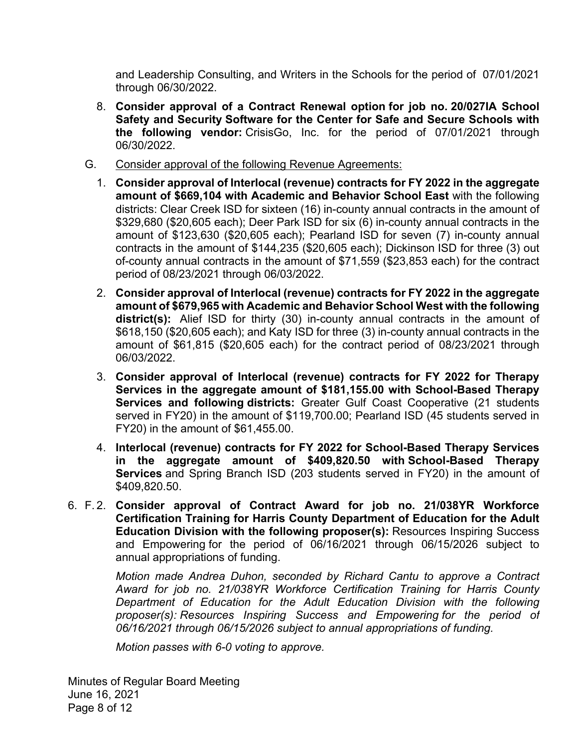and Leadership Consulting, and Writers in the Schools for the period of 07/01/2021 through 06/30/2022.

- 8. **Consider approval of a Contract Renewal option for job no. 20/027IA School Safety and Security Software for the Center for Safe and Secure Schools with the following vendor:** CrisisGo, Inc. for the period of 07/01/2021 through 06/30/2022.
- G. Consider approval of the following Revenue Agreements:
	- 1. **Consider approval of Interlocal (revenue) contracts for FY 2022 in the aggregate amount of \$669,104 with Academic and Behavior School East** with the following districts: Clear Creek ISD for sixteen (16) in-county annual contracts in the amount of \$329,680 (\$20,605 each); Deer Park ISD for six (6) in-county annual contracts in the amount of \$123,630 (\$20,605 each); Pearland ISD for seven (7) in-county annual contracts in the amount of \$144,235 (\$20,605 each); Dickinson ISD for three (3) out of-county annual contracts in the amount of \$71,559 (\$23,853 each) for the contract period of 08/23/2021 through 06/03/2022.
	- 2. **Consider approval of Interlocal (revenue) contracts for FY 2022 in the aggregate amount of \$679,965 with Academic and Behavior School West with the following district(s):** Alief ISD for thirty (30) in-county annual contracts in the amount of \$618,150 (\$20,605 each); and Katy ISD for three (3) in-county annual contracts in the amount of \$61,815 (\$20,605 each) for the contract period of 08/23/2021 through 06/03/2022.
	- 3. **Consider approval of Interlocal (revenue) contracts for FY 2022 for Therapy Services in the aggregate amount of \$181,155.00 with School-Based Therapy Services and following districts:** Greater Gulf Coast Cooperative (21 students served in FY20) in the amount of \$119,700.00; Pearland ISD (45 students served in FY20) in the amount of \$61,455.00.
	- 4. **Interlocal (revenue) contracts for FY 2022 for School-Based Therapy Services in the aggregate amount of \$409,820.50 with School-Based Therapy Services** and Spring Branch ISD (203 students served in FY20) in the amount of \$409,820.50.
- 6. F. 2. **Consider approval of Contract Award for job no. 21/038YR Workforce Certification Training for Harris County Department of Education for the Adult Education Division with the following proposer(s):** Resources Inspiring Success and Empowering for the period of 06/16/2021 through 06/15/2026 subject to annual appropriations of funding.

*Motion made Andrea Duhon, seconded by Richard Cantu to approve a Contract Award for job no. 21/038YR Workforce Certification Training for Harris County Department of Education for the Adult Education Division with the following proposer(s): Resources Inspiring Success and Empowering for the period of 06/16/2021 through 06/15/2026 subject to annual appropriations of funding.* 

*Motion passes with 6-0 voting to approve.* 

Minutes of Regular Board Meeting June 16, 2021 Page 8 of 12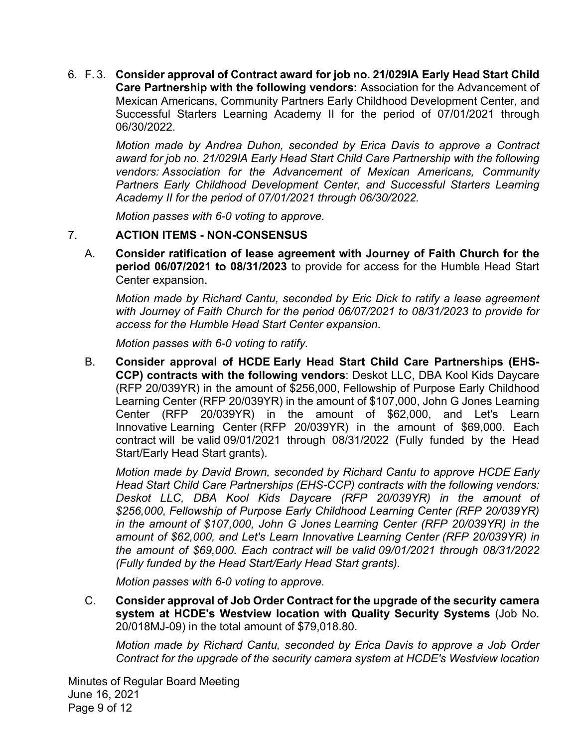6. F. 3. **Consider approval of Contract award for job no. 21/029IA Early Head Start Child Care Partnership with the following vendors:** Association for the Advancement of Mexican Americans, Community Partners Early Childhood Development Center, and Successful Starters Learning Academy II for the period of 07/01/2021 through 06/30/2022.

> *Motion made by Andrea Duhon, seconded by Erica Davis to approve a Contract award for job no. 21/029IA Early Head Start Child Care Partnership with the following vendors: Association for the Advancement of Mexican Americans, Community Partners Early Childhood Development Center, and Successful Starters Learning Academy II for the period of 07/01/2021 through 06/30/2022.*

*Motion passes with 6-0 voting to approve.* 

#### 7. **ACTION ITEMS - NON-CONSENSUS**

A. **Consider ratification of lease agreement with Journey of Faith Church for the period 06/07/2021 to 08/31/2023** to provide for access for the Humble Head Start Center expansion.

*Motion made by Richard Cantu, seconded by Eric Dick to ratify a lease agreement with Journey of Faith Church for the period 06/07/2021 to 08/31/2023 to provide for access for the Humble Head Start Center expansion*.

*Motion passes with 6-0 voting to ratify.* 

B. **Consider approval of HCDE Early Head Start Child Care Partnerships (EHS-CCP) contracts with the following vendors**: Deskot LLC, DBA Kool Kids Daycare (RFP 20/039YR) in the amount of \$256,000, Fellowship of Purpose Early Childhood Learning Center (RFP 20/039YR) in the amount of \$107,000, John G Jones Learning Center (RFP 20/039YR) in the amount of \$62,000, and Let's Learn Innovative Learning Center (RFP 20/039YR) in the amount of \$69,000. Each contract will be valid 09/01/2021 through 08/31/2022 (Fully funded by the Head Start/Early Head Start grants).

*Motion made by David Brown, seconded by Richard Cantu to approve HCDE Early Head Start Child Care Partnerships (EHS-CCP) contracts with the following vendors: Deskot LLC, DBA Kool Kids Daycare (RFP 20/039YR) in the amount of \$256,000, Fellowship of Purpose Early Childhood Learning Center (RFP 20/039YR) in the amount of \$107,000, John G Jones Learning Center (RFP 20/039YR) in the amount of \$62,000, and Let's Learn Innovative Learning Center (RFP 20/039YR) in the amount of \$69,000. Each contract will be valid 09/01/2021 through 08/31/2022 (Fully funded by the Head Start/Early Head Start grants).* 

*Motion passes with 6-0 voting to approve.*

C. **Consider approval of Job Order Contract for the upgrade of the security camera system at HCDE's Westview location with Quality Security Systems** (Job No. 20/018MJ-09) in the total amount of \$79,018.80.

*Motion made by Richard Cantu, seconded by Erica Davis to approve a Job Order Contract for the upgrade of the security camera system at HCDE's Westview location*

Minutes of Regular Board Meeting June 16, 2021 Page 9 of 12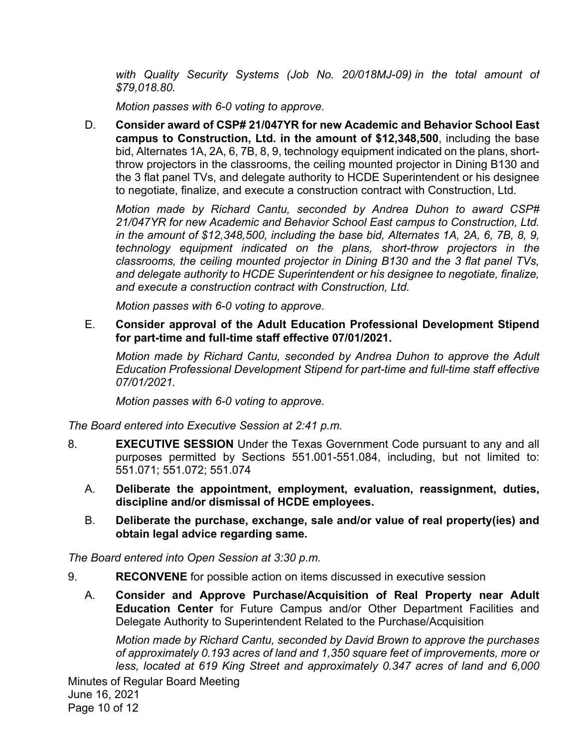*with Quality Security Systems (Job No. 20/018MJ-09) in the total amount of \$79,018.80.* 

*Motion passes with 6-0 voting to approve.*

D. **Consider award of CSP# 21/047YR for new Academic and Behavior School East campus to Construction, Ltd. in the amount of \$12,348,500**, including the base bid, Alternates 1A, 2A, 6, 7B, 8, 9, technology equipment indicated on the plans, shortthrow projectors in the classrooms, the ceiling mounted projector in Dining B130 and the 3 flat panel TVs, and delegate authority to HCDE Superintendent or his designee to negotiate, finalize, and execute a construction contract with Construction, Ltd.

*Motion made by Richard Cantu, seconded by Andrea Duhon to award CSP# 21/047YR for new Academic and Behavior School East campus to Construction, Ltd. in the amount of \$12,348,500, including the base bid, Alternates 1A, 2A, 6, 7B, 8, 9, technology equipment indicated on the plans, short-throw projectors in the classrooms, the ceiling mounted projector in Dining B130 and the 3 flat panel TVs, and delegate authority to HCDE Superintendent or his designee to negotiate, finalize, and execute a construction contract with Construction, Ltd.* 

*Motion passes with 6-0 voting to approve.* 

E. **Consider approval of the Adult Education Professional Development Stipend for part-time and full-time staff effective 07/01/2021.** 

*Motion made by Richard Cantu, seconded by Andrea Duhon to approve the Adult Education Professional Development Stipend for part-time and full-time staff effective 07/01/2021.* 

*Motion passes with 6-0 voting to approve.* 

*The Board entered into Executive Session at 2:41 p.m.* 

- 8. **EXECUTIVE SESSION** Under the Texas Government Code pursuant to any and all purposes permitted by Sections 551.001-551.084, including, but not limited to: 551.071; 551.072; 551.074
	- A. **Deliberate the appointment, employment, evaluation, reassignment, duties, discipline and/or dismissal of HCDE employees.**
	- B. **Deliberate the purchase, exchange, sale and/or value of real property(ies) and obtain legal advice regarding same.**

*The Board entered into Open Session at 3:30 p.m.* 

- 9. **RECONVENE** for possible action on items discussed in executive session
	- A. **Consider and Approve Purchase/Acquisition of Real Property near Adult Education Center** for Future Campus and/or Other Department Facilities and Delegate Authority to Superintendent Related to the Purchase/Acquisition

*Motion made by Richard Cantu, seconded by David Brown to approve the purchases of approximately 0.193 acres of land and 1,350 square feet of improvements, more or less, located at 619 King Street and approximately 0.347 acres of land and 6,000*

Minutes of Regular Board Meeting June 16, 2021 Page 10 of 12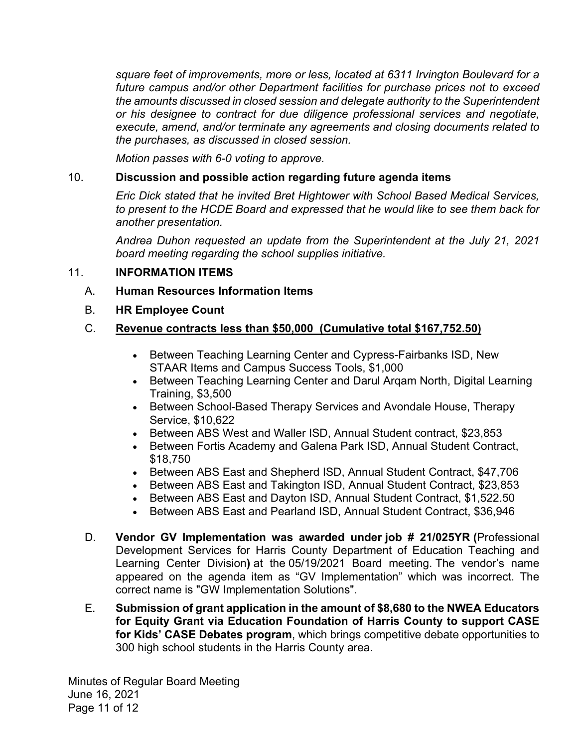*square feet of improvements, more or less, located at 6311 Irvington Boulevard for a future campus and/or other Department facilities for purchase prices not to exceed the amounts discussed in closed session and delegate authority to the Superintendent or his designee to contract for due diligence professional services and negotiate, execute, amend, and/or terminate any agreements and closing documents related to the purchases, as discussed in closed session.* 

*Motion passes with 6-0 voting to approve.*

#### 10. **Discussion and possible action regarding future agenda items**

*Eric Dick stated that he invited Bret Hightower with School Based Medical Services, to present to the HCDE Board and expressed that he would like to see them back for another presentation.* 

*Andrea Duhon requested an update from the Superintendent at the July 21, 2021 board meeting regarding the school supplies initiative.* 

#### 11. **INFORMATION ITEMS**

- A. **Human Resources Information Items**
- B. **HR Employee Count**

## C. **Revenue contracts less than \$50,000 (Cumulative total \$167,752.50)**

- Between Teaching Learning Center and Cypress-Fairbanks ISD, New STAAR Items and Campus Success Tools, \$1,000
- Between Teaching Learning Center and Darul Argam North, Digital Learning Training, \$3,500
- Between School-Based Therapy Services and Avondale House, Therapy Service, \$10,622
- Between ABS West and Waller ISD, Annual Student contract, \$23,853
- Between Fortis Academy and Galena Park ISD, Annual Student Contract, \$18,750
- Between ABS East and Shepherd ISD, Annual Student Contract, \$47,706
- Between ABS East and Takington ISD, Annual Student Contract, \$23,853
- Between ABS East and Dayton ISD, Annual Student Contract, \$1,522.50
- Between ABS East and Pearland ISD, Annual Student Contract, \$36,946
- D. **Vendor GV Implementation was awarded under job # 21/025YR (**Professional Development Services for Harris County Department of Education Teaching and Learning Center Division**)** at the 05/19/2021 Board meeting. The vendor's name appeared on the agenda item as "GV Implementation" which was incorrect. The correct name is "GW Implementation Solutions".
- E. **Submission of grant application in the amount of \$8,680 to the NWEA Educators for Equity Grant via Education Foundation of Harris County to support CASE for Kids' CASE Debates program**, which brings competitive debate opportunities to 300 high school students in the Harris County area.

Minutes of Regular Board Meeting June 16, 2021 Page 11 of 12